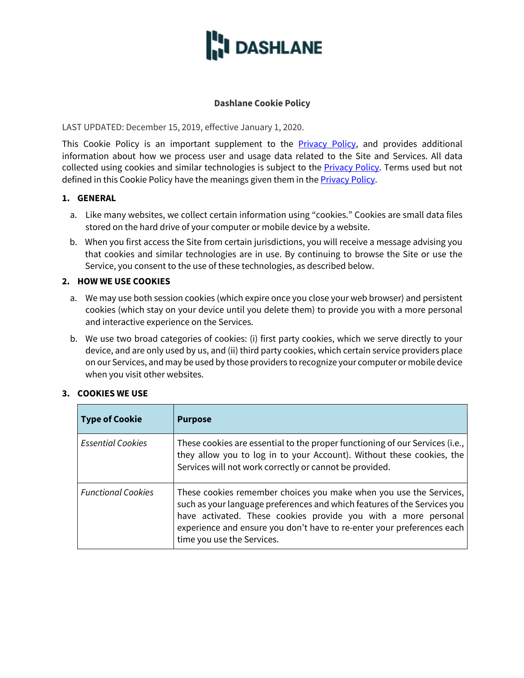

## **Dashlane Cookie Policy**

LAST UPDATED: December 15, 2019, effective January 1, 2020.

This Cookie Policy is an important supplement to the **Privacy Policy**, and provides additional information about how we process user and usage data related to the Site and Services. All data collected using cookies and similar technologies is subject to the **Privacy Policy**. Terms used but not defined in this Cookie Policy have the meanings given them in the **Privacy Policy**.

## **1. GENERAL**

- a. Like many websites, we collect certain information using "cookies." Cookies are small data files stored on the hard drive of your computer or mobile device by a website.
- b. When you first access the Site from certain jurisdictions, you will receive a message advising you that cookies and similar technologies are in use. By continuing to browse the Site or use the Service, you consent to the use of these technologies, as described below.

## **2. HOW WE USE COOKIES**

- a. We may use both session cookies (which expire once you close your web browser) and persistent cookies (which stay on your device until you delete them) to provide you with a more personal and interactive experience on the Services.
- b. We use two broad categories of cookies: (i) first party cookies, which we serve directly to your device, and are only used by us, and (ii) third party cookies, which certain service providers place on our Services, and may be used by those providers to recognize your computer or mobile device when you visit other websites.

## **3. COOKIES WE USE**

| <b>Type of Cookie</b>     | <b>Purpose</b>                                                                                                                                                                                                                                                                                                           |
|---------------------------|--------------------------------------------------------------------------------------------------------------------------------------------------------------------------------------------------------------------------------------------------------------------------------------------------------------------------|
| <b>Essential Cookies</b>  | These cookies are essential to the proper functioning of our Services (i.e.,<br>they allow you to log in to your Account). Without these cookies, the<br>Services will not work correctly or cannot be provided.                                                                                                         |
| <b>Functional Cookies</b> | These cookies remember choices you make when you use the Services,<br>such as your language preferences and which features of the Services you<br>have activated. These cookies provide you with a more personal<br>experience and ensure you don't have to re-enter your preferences each<br>time you use the Services. |